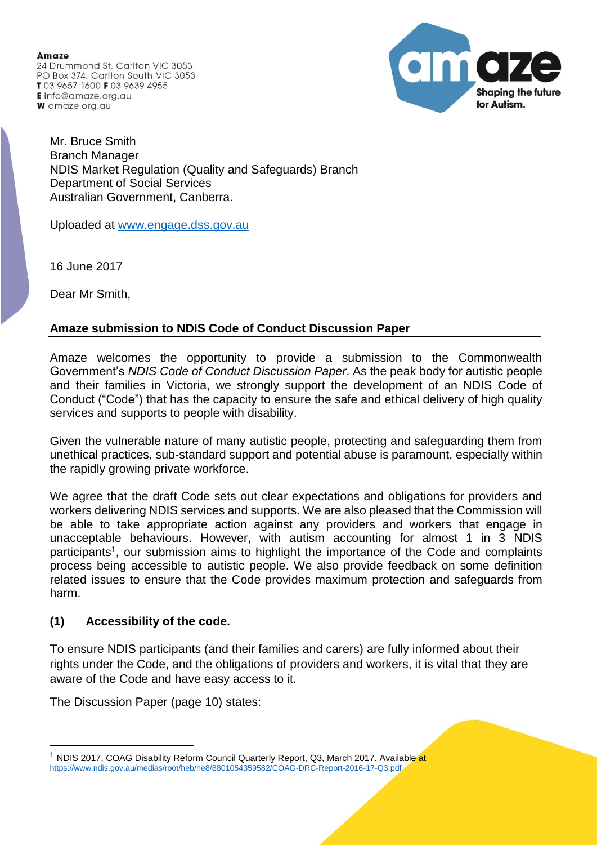**Amaze** 24 Drummond St. Carlton VIC 3053 PO Box 374, Carlton South VIC 3053 T03 9657 1600 F03 9639 4955 **E** info@amaze.org.au W amaze.org.au



Mr. Bruce Smith Branch Manager NDIS Market Regulation (Quality and Safeguards) Branch Department of Social Services Australian Government, Canberra.

Uploaded at [www.engage.dss.gov.au](http://www.engage.dss.gov.au/)

16 June 2017

Dear Mr Smith,

## **Amaze submission to NDIS Code of Conduct Discussion Paper**

Amaze welcomes the opportunity to provide a submission to the Commonwealth Government's *NDIS Code of Conduct Discussion Paper*. As the peak body for autistic people and their families in Victoria, we strongly support the development of an NDIS Code of Conduct ("Code") that has the capacity to ensure the safe and ethical delivery of high quality services and supports to people with disability.

Given the vulnerable nature of many autistic people, protecting and safeguarding them from unethical practices, sub-standard support and potential abuse is paramount, especially within the rapidly growing private workforce.

We agree that the draft Code sets out clear expectations and obligations for providers and workers delivering NDIS services and supports. We are also pleased that the Commission will be able to take appropriate action against any providers and workers that engage in unacceptable behaviours. However, with autism accounting for almost 1 in 3 NDIS participants<sup>1</sup>, our submission aims to highlight the importance of the Code and complaints process being accessible to autistic people. We also provide feedback on some definition related issues to ensure that the Code provides maximum protection and safeguards from harm.

## **(1) Accessibility of the code.**

To ensure NDIS participants (and their families and carers) are fully informed about their rights under the Code, and the obligations of providers and workers, it is vital that they are aware of the Code and have easy access to it.

The Discussion Paper (page 10) states:

 $\overline{a}$ 

<sup>1</sup> NDIS 2017, COAG Disability Reform Council Quarterly Report, Q3, March 2017. Available at <https://www.ndis.gov.au/medias/root/heb/he8/8801054359582/COAG-DRC-Report-2016-17-Q3.pdf>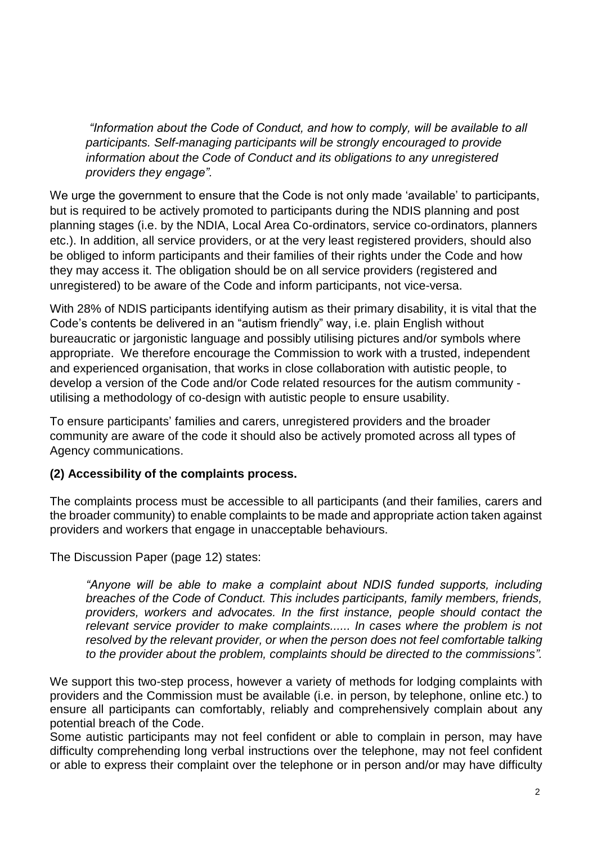*"Information about the Code of Conduct, and how to comply, will be available to all participants. Self-managing participants will be strongly encouraged to provide information about the Code of Conduct and its obligations to any unregistered providers they engage".*

We urge the government to ensure that the Code is not only made 'available' to participants, but is required to be actively promoted to participants during the NDIS planning and post planning stages (i.e. by the NDIA, Local Area Co-ordinators, service co-ordinators, planners etc.). In addition, all service providers, or at the very least registered providers, should also be obliged to inform participants and their families of their rights under the Code and how they may access it. The obligation should be on all service providers (registered and unregistered) to be aware of the Code and inform participants, not vice-versa.

With 28% of NDIS participants identifying autism as their primary disability, it is vital that the Code's contents be delivered in an "autism friendly" way, i.e. plain English without bureaucratic or jargonistic language and possibly utilising pictures and/or symbols where appropriate. We therefore encourage the Commission to work with a trusted, independent and experienced organisation, that works in close collaboration with autistic people, to develop a version of the Code and/or Code related resources for the autism community utilising a methodology of co-design with autistic people to ensure usability.

To ensure participants' families and carers, unregistered providers and the broader community are aware of the code it should also be actively promoted across all types of Agency communications.

## **(2) Accessibility of the complaints process.**

The complaints process must be accessible to all participants (and their families, carers and the broader community) to enable complaints to be made and appropriate action taken against providers and workers that engage in unacceptable behaviours.

The Discussion Paper (page 12) states:

*"Anyone will be able to make a complaint about NDIS funded supports, including breaches of the Code of Conduct. This includes participants, family members, friends, providers, workers and advocates. In the first instance, people should contact the relevant service provider to make complaints...... In cases where the problem is not resolved by the relevant provider, or when the person does not feel comfortable talking to the provider about the problem, complaints should be directed to the commissions".*

We support this two-step process, however a variety of methods for lodging complaints with providers and the Commission must be available (i.e. in person, by telephone, online etc.) to ensure all participants can comfortably, reliably and comprehensively complain about any potential breach of the Code.

Some autistic participants may not feel confident or able to complain in person, may have difficulty comprehending long verbal instructions over the telephone, may not feel confident or able to express their complaint over the telephone or in person and/or may have difficulty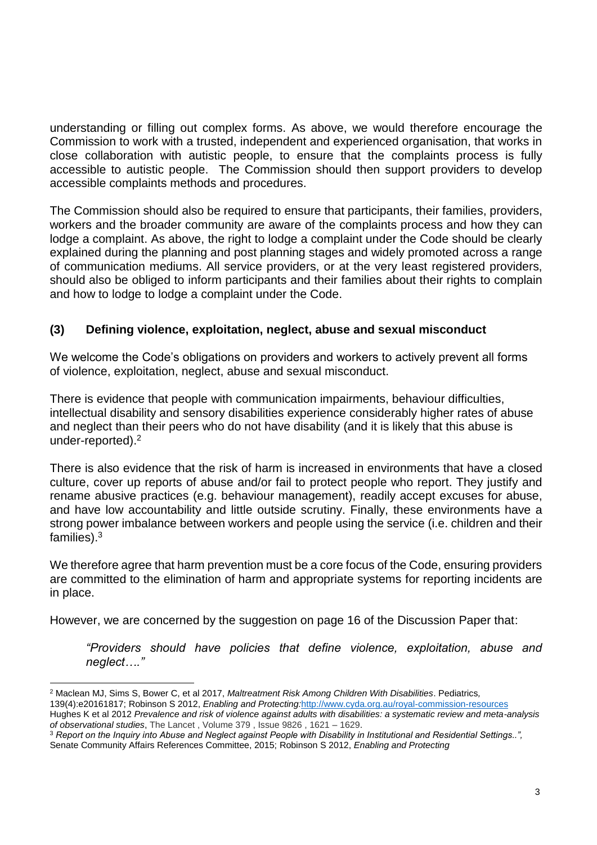understanding or filling out complex forms. As above, we would therefore encourage the Commission to work with a trusted, independent and experienced organisation, that works in close collaboration with autistic people, to ensure that the complaints process is fully accessible to autistic people. The Commission should then support providers to develop accessible complaints methods and procedures.

The Commission should also be required to ensure that participants, their families, providers, workers and the broader community are aware of the complaints process and how they can lodge a complaint. As above, the right to lodge a complaint under the Code should be clearly explained during the planning and post planning stages and widely promoted across a range of communication mediums. All service providers, or at the very least registered providers, should also be obliged to inform participants and their families about their rights to complain and how to lodge to lodge a complaint under the Code.

## **(3) Defining violence, exploitation, neglect, abuse and sexual misconduct**

We welcome the Code's obligations on providers and workers to actively prevent all forms of violence, exploitation, neglect, abuse and sexual misconduct.

There is evidence that people with communication impairments, behaviour difficulties, intellectual disability and sensory disabilities experience considerably higher rates of abuse and neglect than their peers who do not have disability (and it is likely that this abuse is under-reported). $2$ 

There is also evidence that the risk of harm is increased in environments that have a closed culture, cover up reports of abuse and/or fail to protect people who report. They justify and rename abusive practices (e.g. behaviour management), readily accept excuses for abuse, and have low accountability and little outside scrutiny. Finally, these environments have a strong power imbalance between workers and people using the service (i.e. children and their families). 3

We therefore agree that harm prevention must be a core focus of the Code, ensuring providers are committed to the elimination of harm and appropriate systems for reporting incidents are in place.

However, we are concerned by the suggestion on page 16 of the Discussion Paper that:

*"Providers should have policies that define violence, exploitation, abuse and neglect…."*

 $\overline{a}$ <sup>2</sup> Maclean MJ, Sims S, Bower C, et al 2017, *Maltreatment Risk Among Children With Disabilities*. Pediatrics*,*

<sup>139(4):</sup>e20161817; Robinson S 2012, *Enabling and Protecting:*[http://www.cyda.org.au/royal-commission-resources:](http://www.cyda.org.au/royal-commission-resources)

Hughes K et al 2012 *Prevalence and risk of violence against adults with disabilities: a systematic review and meta-analysis of observational studies*, The Lancet , Volume 379 , Issue 9826 , 1621 – 1629.

<sup>3</sup> *Report on the Inquiry into Abuse and Neglect against People with Disability in Institutional and Residential Settings..",*  Senate Community Affairs References Committee, 2015; Robinson S 2012, *Enabling and Protecting*